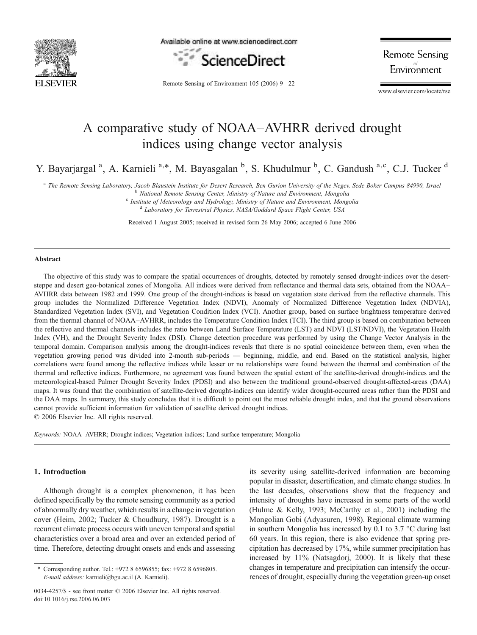

Available online at www.sciencedirect.com



**Remote Sensing** Environment

Remote Sensing of Environment 105 (2006) 9–22

www.elsevier.com/locate/rse

# A comparative study of NOAA–AVHRR derived drought indices using change vector analysis

Y. Bayarjargal<sup>a</sup>, A. Karnieli<sup>a,\*</sup>, M. Bayasgalan<sup>b</sup>, S. Khudulmur<sup>b</sup>, C. Gandush<sup>a,c</sup>, C.J. Tucker<sup>d</sup>

a *The Remote Sensing Laboratory, Jacob Blaustein Institute for Desert Research, Ben Gurion University of the Negev, Sede Boker Campus 84990, Israel*

<sup>b</sup> *National Remote Sensing Center, Ministry of Nature and Environment, Mongolia*

c *Institute of Meteorology and Hydrology, Ministry of Nature and Environment, Mongolia*

d *Laboratory for Terrestrial Physics, NASA/Goddard Space Flight Center, USA*

Received 1 August 2005; received in revised form 26 May 2006; accepted 6 June 2006

#### Abstract

The objective of this study was to compare the spatial occurrences of droughts, detected by remotely sensed drought-indices over the desertsteppe and desert geo-botanical zones of Mongolia. All indices were derived from reflectance and thermal data sets, obtained from the NOAA– AVHRR data between 1982 and 1999. One group of the drought-indices is based on vegetation state derived from the reflective channels. This group includes the Normalized Difference Vegetation Index (NDVI), Anomaly of Normalized Difference Vegetation Index (NDVIA), Standardized Vegetation Index (SVI), and Vegetation Condition Index (VCI). Another group, based on surface brightness temperature derived from the thermal channel of NOAA–AVHRR, includes the Temperature Condition Index (TCI). The third group is based on combination between the reflective and thermal channels includes the ratio between Land Surface Temperature (LST) and NDVI (LST/NDVI), the Vegetation Health Index (VH), and the Drought Severity Index (DSI). Change detection procedure was performed by using the Change Vector Analysis in the temporal domain. Comparison analysis among the drought-indices reveals that there is no spatial coincidence between them, even when the vegetation growing period was divided into 2-month sub-periods — beginning, middle, and end. Based on the statistical analysis, higher correlations were found among the reflective indices while lesser or no relationships were found between the thermal and combination of the thermal and reflective indices. Furthermore, no agreement was found between the spatial extent of the satellite-derived drought-indices and the meteorological-based Palmer Drought Severity Index (PDSI) and also between the traditional ground-observed drought-affected-areas (DAA) maps. It was found that the combination of satellite-derived drought-indices can identify wider drought-occurred areas rather than the PDSI and the DAA maps. In summary, this study concludes that it is difficult to point out the most reliable drought index, and that the ground observations cannot provide sufficient information for validation of satellite derived drought indices. © 2006 Elsevier Inc. All rights reserved.

*Keywords:* NOAA–AVHRR; Drought indices; Vegetation indices; Land surface temperature; Mongolia

# 1. Introduction

Although drought is a complex phenomenon, it has been defined specifically by the remote sensing community as a period of abnormally dry weather, which results in a change in vegetation cover (Heim, 2002; Tucker & Choudhury, 1987). Drought is a recurrent climate process occurs with uneven temporal and spatial characteristics over a broad area and over an extended period of time. Therefore, detecting drought onsets and ends and assessing

its severity using satellite-derived information are becoming popular in disaster, desertification, and climate change studies. In the last decades, observations show that the frequency and intensity of droughts have increased in some parts of the world (Hulme & Kelly, 1993; McCarthy et al., 2001) including the Mongolian Gobi (Adyasuren, 1998). Regional climate warming in southern Mongolia has increased by 0.1 to 3.7 °C during last 60 years. In this region, there is also evidence that spring precipitation has decreased by 17%, while summer precipitation has increased by 11% (Natsagdorj, 2000). It is likely that these changes in temperature and precipitation can intensify the occurrences of drought, especially during the vegetation green-up onset

<sup>⁎</sup> Corresponding author. Tel.: +972 8 6596855; fax: +972 8 6596805. *E-mail address:* karnieli@bgu.ac.il (A. Karnieli).

<sup>0034-4257/\$ -</sup> see front matter © 2006 Elsevier Inc. All rights reserved. doi:10.1016/j.rse.2006.06.003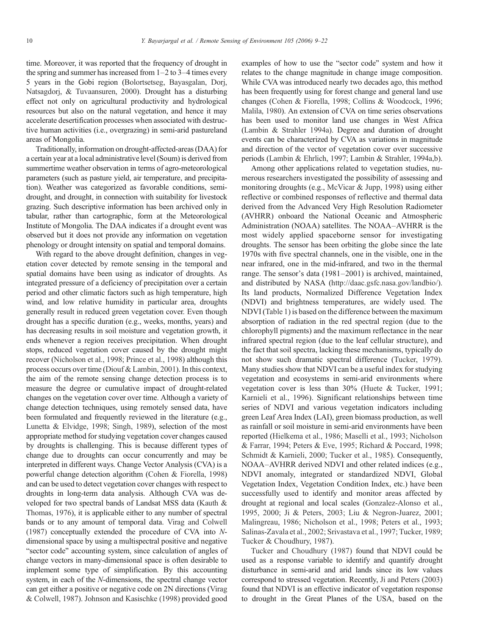time. Moreover, it was reported that the frequency of drought in the spring and summer has increased from  $1-2$  to  $3-4$  times every 5 years in the Gobi region (Bolortsetseg, Bayasgalan, Dorj, Natsagdorj, & Tuvaansuren, 2000). Drought has a disturbing effect not only on agricultural productivity and hydrological resources but also on the natural vegetation, and hence it may accelerate desertification processes when associated with destructive human activities (i.e., overgrazing) in semi-arid pastureland areas of Mongolia.

Traditionally, information on drought-affected-areas (DAA) for a certain year at a local administrative level (Soum) is derived from summertime weather observation in terms of agro-meteorological parameters (such as pasture yield, air temperature, and precipitation). Weather was categorized as favorable conditions, semidrought, and drought, in connection with suitability for livestock grazing. Such descriptive information has been archived only in tabular, rather than cartographic, form at the Meteorological Institute of Mongolia. The DAA indicates if a drought event was observed but it does not provide any information on vegetation phenology or drought intensity on spatial and temporal domains.

With regard to the above drought definition, changes in vegetation cover detected by remote sensing in the temporal and spatial domains have been using as indicator of droughts. As integrated pressure of a deficiency of precipitation over a certain period and other climatic factors such as high temperature, high wind, and low relative humidity in particular area, droughts generally result in reduced green vegetation cover. Even though drought has a specific duration (e.g., weeks, months, years) and has decreasing results in soil moisture and vegetation growth, it ends whenever a region receives precipitation. When drought stops, reduced vegetation cover caused by the drought might recover (Nicholson et al., 1998; Prince et al., 1998) although this process occurs over time (Diouf & Lambin, 2001). In this context, the aim of the remote sensing change detection process is to measure the degree or cumulative impact of drought-related changes on the vegetation cover over time. Although a variety of change detection techniques, using remotely sensed data, have been formulated and frequently reviewed in the literature (e.g., Lunetta & Elvidge, 1998; Singh, 1989), selection of the most appropriate method for studying vegetation cover changes caused by droughts is challenging. This is because different types of change due to droughts can occur concurrently and may be interpreted in different ways. Change Vector Analysis (CVA) is a powerful change detection algorithm (Cohen & Fiorella, 1998) and can be used to detect vegetation cover changes with respect to droughts in long-term data analysis. Although CVA was developed for two spectral bands of Landsat MSS data (Kauth & Thomas, 1976), it is applicable either to any number of spectral bands or to any amount of temporal data. Virag and Colwell (1987) conceptually extended the procedure of CVA into *N*dimensional space by using a multispectral positive and negative "sector code" accounting system, since calculation of angles of change vectors in many-dimensional space is often desirable to implement some type of simplification. By this accounting system, in each of the *N*-dimensions, the spectral change vector can get either a positive or negative code on 2N directions (Virag & Colwell, 1987). Johnson and Kasischke (1998) provided good examples of how to use the "sector code" system and how it relates to the change magnitude in change image composition. While CVA was introduced nearly two decades ago, this method has been frequently using for forest change and general land use changes (Cohen & Fiorella, 1998; Collins & Woodcock, 1996; Malila, 1980). An extension of CVA on time series observations has been used to monitor land use changes in West Africa (Lambin & Strahler 1994a). Degree and duration of drought events can be characterized by CVA as variations in magnitude and direction of the vector of vegetation cover over successive periods (Lambin & Ehrlich, 1997; Lambin & Strahler, 1994a,b).

Among other applications related to vegetation studies, numerous researchers investigated the possibility of assessing and monitoring droughts (e.g., McVicar & Jupp, 1998) using either reflective or combined responses of reflective and thermal data derived from the Advanced Very High Resolution Radiometer (AVHRR) onboard the National Oceanic and Atmospheric Administration (NOAA) satellites. The NOAA–AVHRR is the most widely applied spaceborne sensor for investigating droughts. The sensor has been orbiting the globe since the late 1970s with five spectral channels, one in the visible, one in the near infrared, one in the mid-infrared, and two in the thermal range. The sensor's data (1981–2001) is archived, maintained, and distributed by NASA (http://daac.gsfc.nasa.gov/landbio/). Its land products, Normalized Difference Vegetation Index (NDVI) and brightness temperatures, are widely used. The NDVI (Table 1) is based on the difference between the maximum absorption of radiation in the red spectral region (due to the chlorophyll pigments) and the maximum reflectance in the near infrared spectral region (due to the leaf cellular structure), and the fact that soil spectra, lacking these mechanisms, typically do not show such dramatic spectral difference (Tucker, 1979). Many studies show that NDVI can be a useful index for studying vegetation and ecosystems in semi-arid environments where vegetation cover is less than 30% (Huete & Tucker, 1991; Karnieli et al., 1996). Significant relationships between time series of NDVI and various vegetation indicators including green Leaf Area Index (LAI), green biomass production, as well as rainfall or soil moisture in semi-arid environments have been reported (Hielkema et al., 1986; Maselli et al., 1993; Nicholson & Farrar, 1994; Peters & Eve, 1995; Richard & Poccard, 1998; Schmidt & Karnieli, 2000; Tucker et al., 1985). Consequently, NOAA–AVHRR derived NDVI and other related indices (e.g., NDVI anomaly, integrated or standardized NDVI, Global Vegetation Index, Vegetation Condition Index, etc.) have been successfully used to identify and monitor areas affected by drought at regional and local scales (Gonzalez-Alonso et al., 1995, 2000; Ji & Peters, 2003; Liu & Negron-Juarez, 2001; Malingreau, 1986; Nicholson et al., 1998; Peters et al., 1993; Salinas-Zavala et al., 2002; Srivastava et al., 1997; Tucker, 1989; Tucker & Choudhury, 1987).

Tucker and Choudhury (1987) found that NDVI could be used as a response variable to identify and quantify drought disturbance in semi-arid and arid lands since its low values correspond to stressed vegetation. Recently, Ji and Peters (2003) found that NDVI is an effective indicator of vegetation response to drought in the Great Planes of the USA, based on the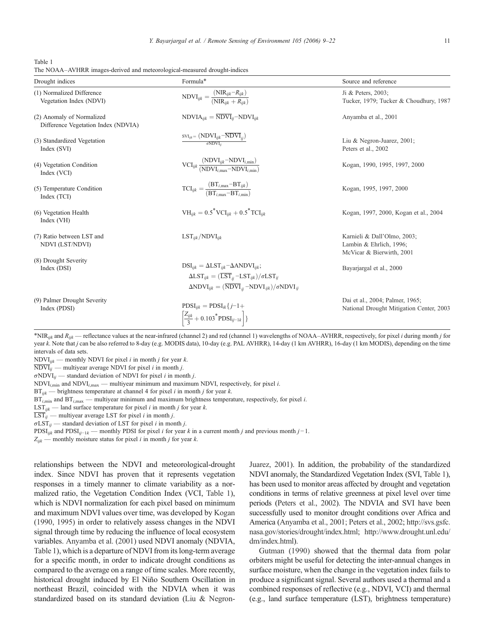Table 1 The NOAA–AVHRR images-derived and meteorological-measured drought-indices

| Drought indices                                                  | Formula*                                                                                                                                                                                                                                                               | Source and reference                                                                |
|------------------------------------------------------------------|------------------------------------------------------------------------------------------------------------------------------------------------------------------------------------------------------------------------------------------------------------------------|-------------------------------------------------------------------------------------|
| (1) Normalized Difference<br>Vegetation Index (NDVI)             | $\text{NDVI}_{ijk} = \frac{(\text{NIR}_{ijk} - R_{ijk})}{(\text{NIR}_{iik} + R_{iik})}$                                                                                                                                                                                | Ji & Peters, 2003;<br>Tucker, 1979; Tucker & Choudhury, 1987                        |
| (2) Anomaly of Normalized<br>Difference Vegetation Index (NDVIA) | $NDVIA_{iik} = \overline{NDVI}_{ii} - NDVI_{iik}$                                                                                                                                                                                                                      | Anyamba et al., 2001                                                                |
| (3) Standardized Vegetation<br>Index (SVI)                       | $\frac{\text{SVI}_{ijk} = (\text{NDVI}_{ijk} - \overline{\text{NDVI}}_{ij})}{\sigma\text{NDVI}_{ii}}$                                                                                                                                                                  | Liu & Negron-Juarez, 2001;<br>Peters et al., 2002                                   |
| (4) Vegetation Condition<br>Index (VCI)                          | $\text{VCI}_{ijk} \frac{\text{(NDVI}_{ijk} - \text{NDVI}_{i,\text{min}})}{\text{(NDVI)}_{i,\text{max}} - \text{NDVI}_{i,\text{min}})}$                                                                                                                                 | Kogan, 1990, 1995, 1997, 2000                                                       |
| (5) Temperature Condition<br>Index (TCI)                         | $\text{TCI}_{ijk} = \frac{(\text{BT}_{i,\text{max}} - \text{BT}_{ijk})}{(\text{BT}_{i,\text{max}} - \text{BT}_{i,\text{min}})}$                                                                                                                                        | Kogan, 1995, 1997, 2000                                                             |
| (6) Vegetation Health<br>Index $(VH)$                            | $VH_{ijk} = 0.5^{*}VCl_{ijk} + 0.5^{*}TCl_{ijk}$                                                                                                                                                                                                                       | Kogan, 1997, 2000, Kogan et al., 2004                                               |
| (7) Ratio between LST and<br>NDVI (LST/NDVI)                     | $LST_{iik}/NDVI_{iik}$                                                                                                                                                                                                                                                 | Karnieli & Dall'Olmo, 2003;<br>Lambin & Ehrlich, 1996;<br>McVicar & Bierwirth, 2001 |
| (8) Drought Severity<br>Index (DSI)                              | $DSI_{iik} = \Delta LST_{iik} - \Delta ANDVI_{iik};$<br>$\Delta \text{LST}_{ijk} = (\overline{\text{LST}}_{ij} - \text{LST}_{ijk}) / \sigma \text{LST}_{ij}$<br>$\Delta \text{NDVI}_{ijk} = (\overline{\text{NDVI}}_{ii} - \text{NDVI}_{ijk})/\sigma \text{NDVI}_{ii}$ | Bayarjargal et al., 2000                                                            |
| (9) Palmer Drought Severity<br>Index (PDSI)                      | $\text{PDSI}_{ijk} = \text{PDSI}_{ik} \{j-1+$<br>$\left[\frac{Z_{ijk}}{3} + 0.103 * \text{PDSI}_{ij-1k}\right]$                                                                                                                                                        | Dai et al., 2004; Palmer, 1965;<br>National Drought Mitigation Center, 2003         |

⁎NIR*ijk* and *<sup>R</sup>ijk* — reflectance values at the near-infrared (channel 2) and red (channel 1) wavelengths of NOAA–AVHRR, respectively, for pixel *<sup>i</sup>* during month *<sup>j</sup>* for year *k*. Note that *j* can be also referred to 8-day (e.g. MODIS data), 10-day (e.g. PAL AVHRR), 14-day (1 km AVHRR), 16-day (1 km MODIS), depending on the time intervals of data sets.

NDVI $_{ijk}$  — monthly NDVI for pixel *i* in month *j* for year *k*.

 $\overline{\text{NDVI}}_{ij}$  — multiyear average NDVI for pixel *i* in month *j*.

σNDVI*ij* — standard deviation of NDVI for pixel *i* in month *j*.

NDVI*i*,min and NDVI*i*,max — multiyear minimum and maximum NDVI, respectively, for pixel *i*.

BT*ijk* — brightness temperature at channel 4 for pixel *i* in month *j* for year *k*.

BT*i*,min and BT*i*,max — multiyear minimum and maximum brightness temperature, respectively, for pixel *i*.

 $LST_{ijk}$  — land surface temperature for pixel *i* in month *j* for year *k*.

 $\overline{\text{LST}}_{ii}$  — multiyear average LST for pixel *i* in month *j*.

 $\sigma$ LST<sub>*ij*</sub> — standard deviation of LST for pixel *i* in month *j*.

PDSI*ijk* and PDSI*ij*−1*<sup>k</sup>* — monthly PDSI for pixel *i* for year *k* in a current month *j* and previous month *j*−1.

 $Z_{ijk}$  — monthly moisture status for pixel *i* in month *j* for year *k*.

relationships between the NDVI and meteorological-drought index. Since NDVI has proven that it represents vegetation responses in a timely manner to climate variability as a normalized ratio, the Vegetation Condition Index (VCI, Table 1), which is NDVI normalization for each pixel based on minimum and maximum NDVI values over time, was developed by Kogan (1990, 1995) in order to relatively assess changes in the NDVI signal through time by reducing the influence of local ecosystem variables. Anyamba et al. (2001) used NDVI anomaly (NDVIA, Table 1), which is a departure of NDVI from its long-term average for a specific month, in order to indicate drought conditions as compared to the average on a range of time scales. More recently, historical drought induced by El Niño Southern Oscillation in northeast Brazil, coincided with the NDVIA when it was standardized based on its standard deviation (Liu & NegronJuarez, 2001). In addition, the probability of the standardized NDVI anomaly, the Standardized Vegetation Index (SVI, Table 1), has been used to monitor areas affected by drought and vegetation conditions in terms of relative greenness at pixel level over time periods (Peters et al., 2002). The NDVIA and SVI have been successfully used to monitor drought conditions over Africa and America (Anyamba et al., 2001; Peters et al., 2002; http://svs.gsfc. nasa.gov/stories/drought/index.html; http://www.drought.unl.edu/ dm/index.html).

Gutman (1990) showed that the thermal data from polar orbiters might be useful for detecting the inter-annual changes in surface moisture, when the change in the vegetation index fails to produce a significant signal. Several authors used a thermal and a combined responses of reflective (e.g., NDVI, VCI) and thermal (e.g., land surface temperature (LST), brightness temperature)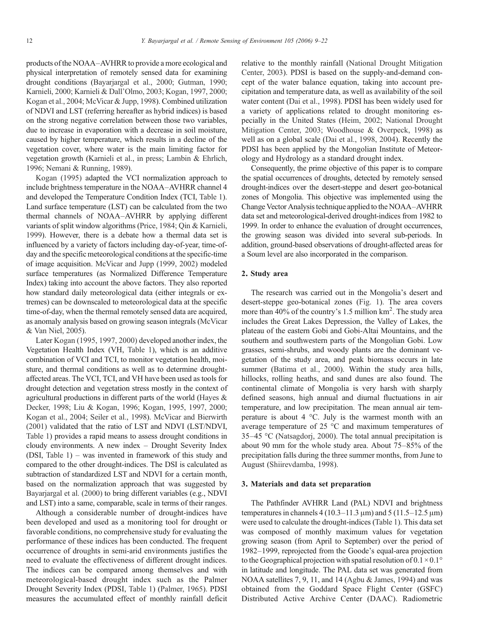products of the NOAA–AVHRR to provide a more ecological and physical interpretation of remotely sensed data for examining drought conditions (Bayarjargal et al., 2000; Gutman, 1990; Karnieli, 2000; Karnieli & Dall'Olmo, 2003; Kogan, 1997, 2000; Kogan et al., 2004; McVicar & Jupp, 1998). Combined utilization of NDVI and LST (referring hereafter as hybrid indices) is based on the strong negative correlation between those two variables, due to increase in evaporation with a decrease in soil moisture, caused by higher temperature, which results in a decline of the vegetation cover, where water is the main limiting factor for vegetation growth (Karnieli et al., in press; Lambin & Ehrlich, 1996; Nemani & Running, 1989).

Kogan (1995) adapted the VCI normalization approach to include brightness temperature in the NOAA–AVHRR channel 4 and developed the Temperature Condition Index (TCI, Table 1). Land surface temperature (LST) can be calculated from the two thermal channels of NOAA–AVHRR by applying different variants of split window algorithms (Price, 1984; Qin & Karnieli, 1999). However, there is a debate how a thermal data set is influenced by a variety of factors including day-of-year, time-ofday and the specific meteorological conditions at the specific-time of image acquisition. McVicar and Jupp (1999, 2002) modeled surface temperatures (as Normalized Difference Temperature Index) taking into account the above factors. They also reported how standard daily meteorological data (either integrals or extremes) can be downscaled to meteorological data at the specific time-of-day, when the thermal remotely sensed data are acquired, as anomaly analysis based on growing season integrals (McVicar & Van Niel, 2005).

Later Kogan (1995, 1997, 2000) developed another index, the Vegetation Health Index (VH, Table 1), which is an additive combination of VCI and TCI, to monitor vegetation health, moisture, and thermal conditions as well as to determine droughtaffected areas. The VCI, TCI, and VH have been used as tools for drought detection and vegetation stress mostly in the context of agricultural productions in different parts of the world (Hayes & Decker, 1998; Liu & Kogan, 1996; Kogan, 1995, 1997, 2000; Kogan et al., 2004; Seiler et al., 1998). McVicar and Bierwirth (2001) validated that the ratio of LST and NDVI (LST/NDVI, Table 1) provides a rapid means to assess drought conditions in cloudy environments. A new index – Drought Severity Index (DSI, Table 1) – was invented in framework of this study and compared to the other drought-indices. The DSI is calculated as subtraction of standardized LST and NDVI for a certain month, based on the normalization approach that was suggested by Bayarjargal et al. (2000) to bring different variables (e.g., NDVI and LST) into a same, comparable, scale in terms of their ranges.

Although a considerable number of drought-indices have been developed and used as a monitoring tool for drought or favorable conditions, no comprehensive study for evaluating the performance of these indices has been conducted. The frequent occurrence of droughts in semi-arid environments justifies the need to evaluate the effectiveness of different drought indices. The indices can be compared among themselves and with meteorological-based drought index such as the Palmer Drought Severity Index (PDSI, Table 1) (Palmer, 1965). PDSI measures the accumulated effect of monthly rainfall deficit relative to the monthly rainfall (National Drought Mitigation Center, 2003). PDSI is based on the supply-and-demand concept of the water balance equation, taking into account precipitation and temperature data, as well as availability of the soil water content (Dai et al., 1998). PDSI has been widely used for a variety of applications related to drought monitoring especially in the United States (Heim, 2002; National Drought Mitigation Center, 2003; Woodhouse & Overpeck, 1998) as well as on a global scale (Dai et al., 1998, 2004). Recently the PDSI has been applied by the Mongolian Institute of Meteorology and Hydrology as a standard drought index.

Consequently, the prime objective of this paper is to compare the spatial occurrences of droughts, detected by remotely sensed drought-indices over the desert-steppe and desert geo-botanical zones of Mongolia. This objective was implemented using the Change Vector Analysis technique applied to the NOAA–AVHRR data set and meteorological-derived drought-indices from 1982 to 1999. In order to enhance the evaluation of drought occurrences, the growing season was divided into several sub-periods. In addition, ground-based observations of drought-affected areas for a Soum level are also incorporated in the comparison.

# 2. Study area

The research was carried out in the Mongolia's desert and desert-steppe geo-botanical zones (Fig. 1). The area covers more than 40% of the country's 1.5 million km<sup>2</sup>. The study area includes the Great Lakes Depression, the Valley of Lakes, the plateau of the eastern Gobi and Gobi-Altai Mountains, and the southern and southwestern parts of the Mongolian Gobi. Low grasses, semi-shrubs, and woody plants are the dominant vegetation of the study area, and peak biomass occurs in late summer (Batima et al., 2000). Within the study area hills, hillocks, rolling heaths, and sand dunes are also found. The continental climate of Mongolia is very harsh with sharply defined seasons, high annual and diurnal fluctuations in air temperature, and low precipitation. The mean annual air temperature is about 4  $\degree$ C. July is the warmest month with an average temperature of 25 °C and maximum temperatures of 35–45 °C (Natsagdorj, 2000). The total annual precipitation is about 90 mm for the whole study area. About 75–85% of the precipitation falls during the three summer months, from June to August (Shiirevdamba, 1998).

## 3. Materials and data set preparation

The Pathfinder AVHRR Land (PAL) NDVI and brightness temperatures in channels  $4(10.3-11.3 \,\mu m)$  and  $5(11.5-12.5 \,\mu m)$ were used to calculate the drought-indices (Table 1). This data set was composed of monthly maximum values for vegetation growing season (from April to September) over the period of 1982–1999, reprojected from the Goode's equal-area projection to the Geographical projection with spatial resolution of  $0.1 \times 0.1$ <sup>o</sup> in latitude and longitude. The PAL data set was generated from NOAA satellites 7, 9, 11, and 14 (Agbu & James, 1994) and was obtained from the Goddard Space Flight Center (GSFC) Distributed Active Archive Center (DAAC). Radiometric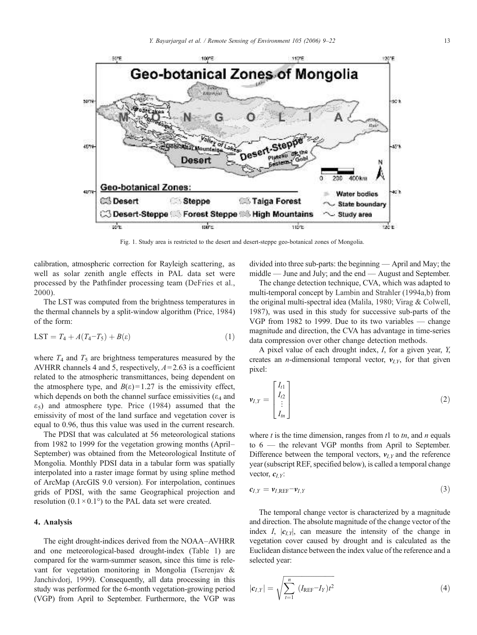

Fig. 1. Study area is restricted to the desert and desert-steppe geo-botanical zones of Mongolia.

calibration, atmospheric correction for Rayleigh scattering, as well as solar zenith angle effects in PAL data set were processed by the Pathfinder processing team (DeFries et al., 2000).

The LST was computed from the brightness temperatures in the thermal channels by a split-window algorithm (Price, 1984) of the form:

$$
LST = T_4 + A(T_4 - T_5) + B(\varepsilon)
$$
\n<sup>(1)</sup>

where  $T_4$  and  $T_5$  are brightness temperatures measured by the AVHRR channels 4 and 5, respectively, *A*= 2.63 is a coefficient related to the atmospheric transmittances, being dependent on the atmosphere type, and  $B(\varepsilon) = 1.27$  is the emissivity effect, which depends on both the channel surface emissivities ( $\varepsilon_4$  and  $\varepsilon$ <sub>5</sub>) and atmosphere type. Price (1984) assumed that the emissivity of most of the land surface and vegetation cover is equal to 0.96, thus this value was used in the current research.

The PDSI that was calculated at 56 meteorological stations from 1982 to 1999 for the vegetation growing months (April– September) was obtained from the Meteorological Institute of Mongolia. Monthly PDSI data in a tabular form was spatially interpolated into a raster image format by using spline method of ArcMap (ArcGIS 9.0 version). For interpolation, continues grids of PDSI, with the same Geographical projection and resolution  $(0.1 \times 0.1^{\circ})$  to the PAL data set were created.

## 4. Analysis

The eight drought-indices derived from the NOAA–AVHRR and one meteorological-based drought-index (Table 1) are compared for the warm-summer season, since this time is relevant for vegetation monitoring in Mongolia (Tserenjav & Janchivdorj, 1999). Consequently, all data processing in this study was performed for the 6-month vegetation-growing period (VGP) from April to September. Furthermore, the VGP was divided into three sub-parts: the beginning — April and May; the middle — June and July; and the end — August and September.

The change detection technique, CVA, which was adapted to multi-temporal concept by Lambin and Strahler (1994a,b) from the original multi-spectral idea (Malila, 1980; Virag & Colwell, 1987), was used in this study for successive sub-parts of the VGP from 1982 to 1999. Due to its two variables — change magnitude and direction, the CVA has advantage in time-series data compression over other change detection methods.

A pixel value of each drought index, *I*, for a given year, *Y*, creates an *n*-dimensional temporal vector,  $v_{I,Y}$ , for that given pixel:

$$
\mathbf{v}_{I,Y} = \begin{bmatrix} I_{t1} \\ I_{t2} \\ \vdots \\ I_{tn} \end{bmatrix} \tag{2}
$$

where *t* is the time dimension, ranges from *t*1 to *tn*, and *n* equals to 6 — the relevant VGP months from April to September. Difference between the temporal vectors,  $v_{I,Y}$  and the reference year (subscript REF, specified below), is called a temporal change vector, c*I,Y*:

$$
c_{I,Y} = v_{I,\text{REF}} - v_{I,Y} \tag{3}
$$

The temporal change vector is characterized by a magnitude and direction. The absolute magnitude of the change vector of the index  $I$ ,  $|c_{I,Y}|$ , can measure the intensity of the change in vegetation cover caused by drought and is calculated as the Euclidean distance between the index value of the reference and a selected year:

$$
|c_{I,Y}| = \sqrt{\sum_{t=1}^{n} (I_{REF} - I_{Y})t^2}
$$
 (4)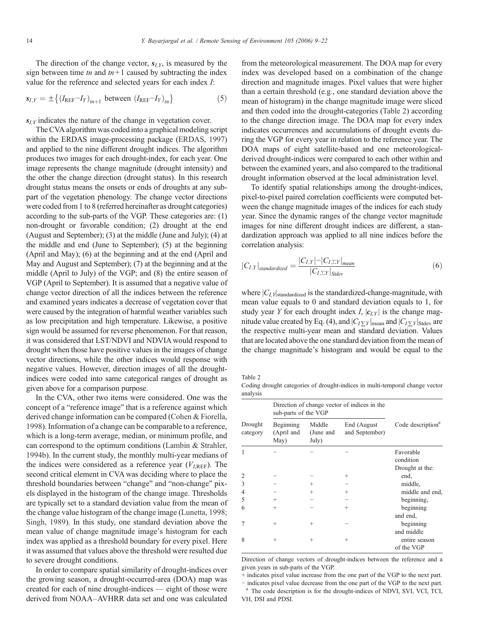The direction of the change vector,  $s_{I,Y}$ , is measured by the sign between time  $tn$  and  $tn+1$  caused by subtracting the index value for the reference and selected years for each index *I*:

$$
s_{I,Y} = \pm \left\{ \left( I_{REF} - I_Y \right)_{t n+1} \text{ between } \left( I_{REF} - I_Y \right)_{t n} \right\} \tag{5}
$$

 $s_{I}$ *y* indicates the nature of the change in vegetation cover.

The CVA algorithm was coded into a graphical modeling script within the ERDAS image-processing package (ERDAS, 1997) and applied to the nine different drought indices. The algorithm produces two images for each drought-index, for each year. One image represents the change magnitude (drought intensity) and the other the change direction (drought status). In this research drought status means the onsets or ends of droughts at any subpart of the vegetation phenology. The change vector directions were coded from 1 to 8 (referred hereinafter as drought categories) according to the sub-parts of the VGP. These categories are: (1) non-drought or favorable condition; (2) drought at the end (August and September); (3) at the middle (June and July); (4) at the middle and end (June to September); (5) at the beginning (April and May); (6) at the beginning and at the end (April and May and August and September); (7) at the beginning and at the middle (April to July) of the VGP; and (8) the entire season of VGP (April to September). It is assumed that a negative value of change vector direction of all the indices between the reference and examined years indicates a decrease of vegetation cover that were caused by the integration of harmful weather variables such as low precipitation and high temperature. Likewise, a positive sign would be assumed for reverse phenomenon. For that reason, it was considered that LST/NDVI and NDVIA would respond to drought when those have positive values in the images of change vector directions, while the other indices would response with negative values. However, direction images of all the droughtindices were coded into same categorical ranges of drought as given above for a comparison purpose.

In the CVA, other two items were considered. One was the concept of a "reference image" that is a reference against which derived change information can be compared (Cohen & Fiorella, 1998). Information of a change can be comparable to a reference, which is a long-term average, median, or minimum profile, and can correspond to the optimum conditions (Lambin & Strahler, 1994b). In the current study, the monthly multi-year medians of the indices were considered as a reference year  $(V_{I,REF})$ . The second critical element in CVA was deciding where to place the threshold boundaries between "change" and "non-change" pixels displayed in the histogram of the change image. Thresholds are typically set to a standard deviation value from the mean of the change value histogram of the change image (Lunetta, 1998; Singh, 1989). In this study, one standard deviation above the mean value of change magnitude image's histogram for each index was applied as a threshold boundary for every pixel. Here it was assumed that values above the threshold were resulted due to severe drought conditions.

In order to compare spatial similarity of drought-indices over the growing season, a drought-occurred-area (DOA) map was created for each of nine drought-indices — eight of those were derived from NOAA–AVHRR data set and one was calculated

from the meteorological measurement. The DOA map for every index was developed based on a combination of the change direction and magnitude images. Pixel values that were higher than a certain threshold (e.g., one standard deviation above the mean of histogram) in the change magnitude image were sliced and then coded into the drought-categories (Table 2) according to the change direction image. The DOA map for every index indicates occurrences and accumulations of drought events during the VGP for every year in relation to the reference year. The DOA maps of eight satellite-based and one meteorologicalderived drought-indices were compared to each other within and between the examined years, and also compared to the traditional drought information observed at the local administration level.

To identify spatial relationships among the drought-indices, pixel-to-pixel paired correlation coefficients were computed between the change magnitude images of the indices for each study year. Since the dynamic ranges of the change vector magnitude images for nine different drought indices are different, a standardization approach was applied to all nine indices before the correlation analysis:

$$
|C_{I,Y}|_{standardized} = \frac{|C_{I,Y}| - |C_{I,\Sigma Y}|_{mean}}{|C_{I,\Sigma Y}|_{Stdev}}
$$
(6)

where  $|C_{I,Y}|$ <sub>standardized</sub> is the standardized-change-magnitude, with mean value equals to 0 and standard deviation equals to 1, for study year *Y* for each drought index *I*,  $|c_{I,Y}|$  is the change magnitude value created by Eq. (4), and  $|C_{I\Sigma Y}|_{\text{mean}}$  and  $|C_{I\Sigma Y}|_{\text{Stdev}}$  are the respective multi-year mean and standard deviation. Values that are located above the one standard deviation from the mean of the change magnitude's histogram and would be equal to the

Table 2

Coding drought categories of drought-indices in multi-temporal change vector analysis

|                     | Direction of change vector of indices in the<br>sub-parts of the VGP |                              |                               |                                           |
|---------------------|----------------------------------------------------------------------|------------------------------|-------------------------------|-------------------------------------------|
| Drought<br>category | <b>Beginning</b><br>(April and<br>May)                               | Middle<br>(June and<br>July) | End (August<br>and September) | Code description <sup>a</sup>             |
|                     |                                                                      |                              |                               | Favorable<br>condition<br>Drought at the: |
| 2                   |                                                                      |                              | $^+$                          | end.                                      |
| 3                   |                                                                      | $^{+}$                       |                               | middle,                                   |
| 4                   |                                                                      | $^{+}$                       | $^{+}$                        | middle and end,                           |
| 5                   | $^{+}$                                                               |                              |                               | beginning,                                |
| 6                   | $^{+}$                                                               |                              | $^{+}$                        | beginning<br>and end.                     |
|                     | $^{+}$                                                               | $^{+}$                       |                               | beginning<br>and middle                   |
| 8                   | $^{+}$                                                               | $^{+}$                       | $^{+}$                        | entire season<br>of the VGP               |

Direction of change vectors of drought-indices between the reference and a given years in sub-parts of the VGP.

+ indicates pixel value increase from the one part of the VGP to the next part. − indicates pixel value decrease from the one part of the VGP to the next part.

<sup>a</sup> The code description is for the drought-indices of NDVI, SVI, VCI, TCI, VH, DSI and PDSI.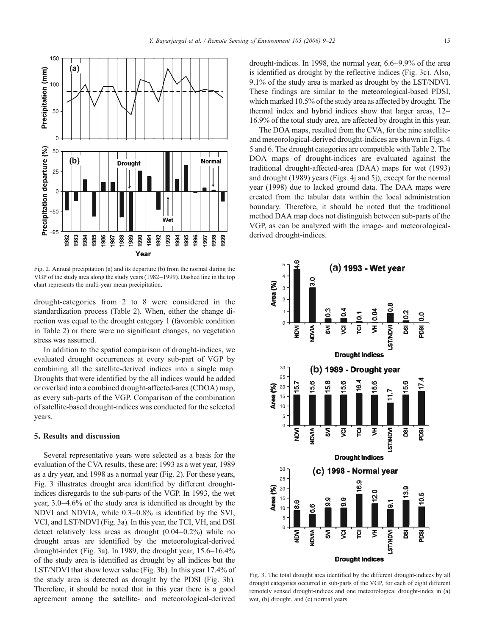

Fig. 2. Annual precipitation (a) and its departure (b) from the normal during the VGP of the study area along the study years (1982–1999). Dashed line in the top chart represents the multi-year mean precipitation.

drought-categories from 2 to 8 were considered in the standardization process (Table 2). When, either the change direction was equal to the drought category 1 (favorable condition in Table 2) or there were no significant changes, no vegetation stress was assumed.

In addition to the spatial comparison of drought-indices, we evaluated drought occurrences at every sub-part of VGP by combining all the satellite-derived indices into a single map. Droughts that were identified by the all indices would be added or overlaid into a combined drought-affected-area (CDOA) map, as every sub-parts of the VGP. Comparison of the combination of satellite-based drought-indices was conducted for the selected years.

# 5. Results and discussion

Several representative years were selected as a basis for the evaluation of the CVA results, these are: 1993 as a wet year, 1989 as a dry year, and 1998 as a normal year (Fig. 2). For these years, Fig. 3 illustrates drought area identified by different droughtindices disregards to the sub-parts of the VGP. In 1993, the wet year, 3.0–4.6% of the study area is identified as drought by the NDVI and NDVIA, while 0.3–0.8% is identified by the SVI, VCI, and LST/NDVI (Fig. 3a). In this year, the TCI, VH, and DSI detect relatively less areas as drought (0.04–0.2%) while no drought areas are identified by the meteorological-derived drought-index (Fig. 3a). In 1989, the drought year, 15.6–16.4% of the study area is identified as drought by all indices but the LST/NDVI that show lower value (Fig. 3b). In this year 17.4% of the study area is detected as drought by the PDSI (Fig. 3b). Therefore, it should be noted that in this year there is a good agreement among the satellite- and meteorological-derived

drought-indices. In 1998, the normal year, 6.6–9.9% of the area is identified as drought by the reflective indices (Fig. 3c). Also, 9.1% of the study area is marked as drought by the LST/NDVI. These findings are similar to the meteorological-based PDSI, which marked 10.5% of the study area as affected by drought. The thermal index and hybrid indices show that larger areas, 12– 16.9% of the total study area, are affected by drought in this year.

The DOA maps, resulted from the CVA, for the nine satelliteand meteorological-derived drought-indices are shown in Figs. 4 5 and 6. The drought categories are compatible with Table 2. The DOA maps of drought-indices are evaluated against the traditional drought-affected-area (DAA) maps for wet (1993) and drought (1989) years (Figs. 4j and 5j), except for the normal year (1998) due to lacked ground data. The DAA maps were created from the tabular data within the local administration boundary. Therefore, it should be noted that the traditional method DAA map does not distinguish between sub-parts of the VGP, as can be analyzed with the image- and meteorologicalderived drought-indices.



Fig. 3. The total drought area identified by the different drought-indices by all drought categories occurred in sub-parts of the VGP, for each of eight different remotely sensed drought-indices and one meteorological drought-index in (a) wet, (b) drought, and (c) normal years.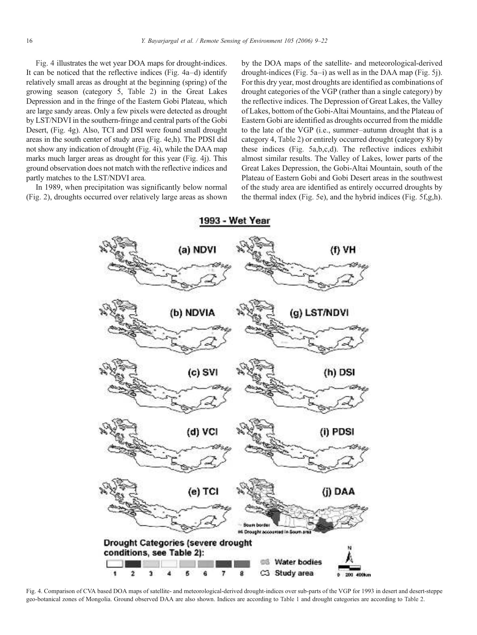Fig. 4 illustrates the wet year DOA maps for drought-indices. It can be noticed that the reflective indices (Fig. 4a–d) identify relatively small areas as drought at the beginning (spring) of the growing season (category 5, Table 2) in the Great Lakes Depression and in the fringe of the Eastern Gobi Plateau, which are large sandy areas. Only a few pixels were detected as drought by LST/NDVI in the southern-fringe and central parts of the Gobi Desert, (Fig. 4g). Also, TCI and DSI were found small drought areas in the south center of study area (Fig. 4e,h). The PDSI did not show any indication of drought (Fig. 4i), while the DAA map marks much larger areas as drought for this year (Fig. 4j). This ground observation does not match with the reflective indices and partly matches to the LST/NDVI area.

In 1989, when precipitation was significantly below normal (Fig. 2), droughts occurred over relatively large areas as shown by the DOA maps of the satellite- and meteorological-derived drought-indices (Fig. 5a–i) as well as in the DAA map (Fig. 5j). For this dry year, most droughts are identified as combinations of drought categories of the VGP (rather than a single category) by the reflective indices. The Depression of Great Lakes, the Valley of Lakes, bottom of the Gobi-Altai Mountains, and the Plateau of Eastern Gobi are identified as droughts occurred from the middle to the late of the VGP (i.e., summer–autumn drought that is a category 4, Table 2) or entirely occurred drought (category 8) by these indices (Fig. 5a,b,c,d). The reflective indices exhibit almost similar results. The Valley of Lakes, lower parts of the Great Lakes Depression, the Gobi-Altai Mountain, south of the Plateau of Eastern Gobi and Gobi Desert areas in the southwest of the study area are identified as entirely occurred droughts by the thermal index (Fig. 5e), and the hybrid indices (Fig. 5f,g,h).



Fig. 4. Comparison of CVA based DOA maps of satellite- and meteorological-derived drought-indices over sub-parts of the VGP for 1993 in desert and desert-steppe geo-botanical zones of Mongolia. Ground observed DAA are also shown. Indices are according to Table 1 and drought categories are according to Table 2.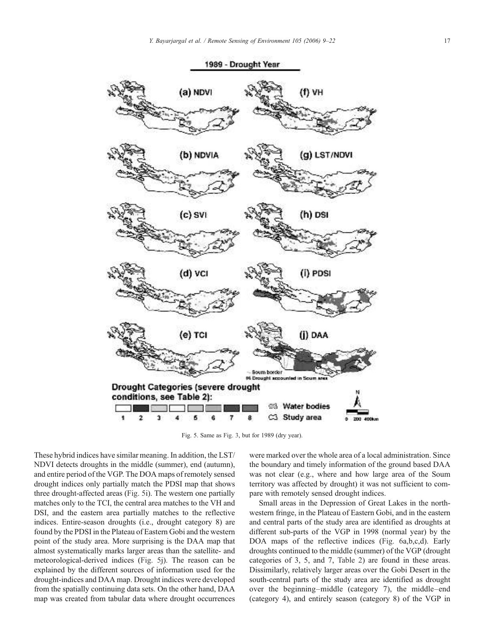

Fig. 5. Same as Fig. 3, but for 1989 (dry year).

These hybrid indices have similar meaning. In addition, the LST/ NDVI detects droughts in the middle (summer), end (autumn), and entire period of the VGP. The DOA maps of remotely sensed drought indices only partially match the PDSI map that shows three drought-affected areas (Fig. 5i). The western one partially matches only to the TCI, the central area matches to the VH and DSI, and the eastern area partially matches to the reflective indices. Entire-season droughts (i.e., drought category 8) are found by the PDSI in the Plateau of Eastern Gobi and the western point of the study area. More surprising is the DAA map that almost systematically marks larger areas than the satellite- and meteorological-derived indices (Fig. 5j). The reason can be explained by the different sources of information used for the drought-indices and DAA map. Drought indices were developed from the spatially continuing data sets. On the other hand, DAA map was created from tabular data where drought occurrences were marked over the whole area of a local administration. Since the boundary and timely information of the ground based DAA was not clear (e.g., where and how large area of the Soum territory was affected by drought) it was not sufficient to compare with remotely sensed drought indices.

Small areas in the Depression of Great Lakes in the northwestern fringe, in the Plateau of Eastern Gobi, and in the eastern and central parts of the study area are identified as droughts at different sub-parts of the VGP in 1998 (normal year) by the DOA maps of the reflective indices (Fig. 6a,b,c,d). Early droughts continued to the middle (summer) of the VGP (drought categories of 3, 5, and 7, Table 2) are found in these areas. Dissimilarly, relatively larger areas over the Gobi Desert in the south-central parts of the study area are identified as drought over the beginning–middle (category 7), the middle–end (category 4), and entirely season (category 8) of the VGP in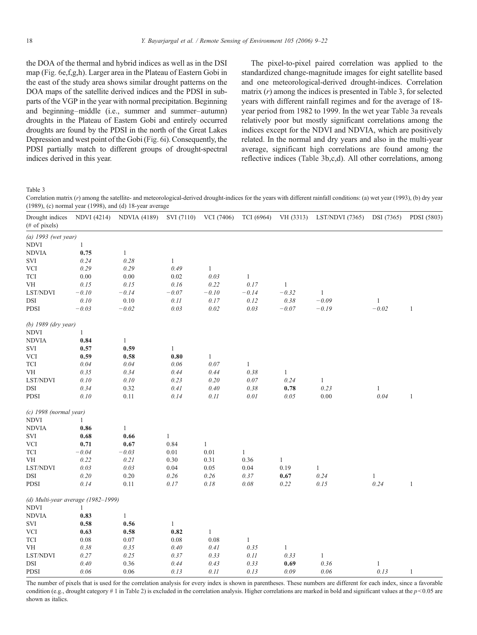the DOA of the thermal and hybrid indices as well as in the DSI map (Fig. 6e,f,g,h). Larger area in the Plateau of Eastern Gobi in the east of the study area shows similar drought patterns on the DOA maps of the satellite derived indices and the PDSI in subparts of the VGP in the year with normal precipitation. Beginning and beginning–middle (i.e., summer and summer–autumn) droughts in the Plateau of Eastern Gobi and entirely occurred droughts are found by the PDSI in the north of the Great Lakes Depression and west point of the Gobi (Fig. 6i). Consequently, the PDSI partially match to different groups of drought-spectral indices derived in this year.

The pixel-to-pixel paired correlation was applied to the standardized change-magnitude images for eight satellite based and one meteorological-derived drought-indices. Correlation matrix (*r*) among the indices is presented in Table 3, for selected years with different rainfall regimes and for the average of 18 year period from 1982 to 1999. In the wet year Table 3a reveals relatively poor but mostly significant correlations among the indices except for the NDVI and NDVIA, which are positively related. In the normal and dry years and also in the multi-year average, significant high correlations are found among the reflective indices (Table 3b,c,d). All other correlations, among

Table 3

Correlation matrix (*r*) among the satellite- and meteorological-derived drought-indices for the years with different rainfall conditions: (a) wet year (1993), (b) dry year (1989), (c) normal year (1998), and (d) 18-year average

| (a) 1993 (wet year)<br><b>NDVI</b><br>$\mathbf{1}$<br><b>NDVIA</b><br>0.75<br>$\mathbf{1}$<br>SVI<br>0.24<br>$0.28\,$<br>$1\,$<br>$\ensuremath{\text{VCI}}$<br>0.29<br>0.29<br>0.49<br>$\mathbf{1}$<br>TCI<br>0.00<br>$0.02\,$<br>0.03<br>0.00<br>$\mathbf{1}$<br>0.17<br>0.15<br>$0.16\,$<br>0.22<br>VH<br>0.15<br>$\mathbf{1}$<br>$-0.10$<br>$-0.14$<br>$-0.07$<br>$-0.10$<br>$-0.14$<br>$-0.32$<br>LST/NDVI<br>$\mathbf{1}$<br>0.10<br>0.10<br>$0.11\,$<br>0.17<br>0.12<br>$0.38\,$<br>$-0.09$<br><b>DSI</b><br>$\mathbf{1}$<br>$-0.07\,$<br>$-0.02$<br>$-0.03$<br>$-0.02$<br>$0.03\,$<br>$0.02\,$<br>0.03<br>$-0.19$<br>$\mathbf{1}$<br>PDSI<br>(b) 1989 (dry year)<br><b>NDVI</b><br>$\mathbf{1}$ | LST/NDVI (7365)<br>DSI (7365)<br>PDSI (5803) | VH (3313) | TCI (6964) |  | NDVIA (4189) SVI (7110) VCI (7406) | NDVI (4214) | Drought indices<br>$#$ of pixels) |
|--------------------------------------------------------------------------------------------------------------------------------------------------------------------------------------------------------------------------------------------------------------------------------------------------------------------------------------------------------------------------------------------------------------------------------------------------------------------------------------------------------------------------------------------------------------------------------------------------------------------------------------------------------------------------------------------------------|----------------------------------------------|-----------|------------|--|------------------------------------|-------------|-----------------------------------|
|                                                                                                                                                                                                                                                                                                                                                                                                                                                                                                                                                                                                                                                                                                        |                                              |           |            |  |                                    |             |                                   |
|                                                                                                                                                                                                                                                                                                                                                                                                                                                                                                                                                                                                                                                                                                        |                                              |           |            |  |                                    |             |                                   |
|                                                                                                                                                                                                                                                                                                                                                                                                                                                                                                                                                                                                                                                                                                        |                                              |           |            |  |                                    |             |                                   |
|                                                                                                                                                                                                                                                                                                                                                                                                                                                                                                                                                                                                                                                                                                        |                                              |           |            |  |                                    |             |                                   |
|                                                                                                                                                                                                                                                                                                                                                                                                                                                                                                                                                                                                                                                                                                        |                                              |           |            |  |                                    |             |                                   |
|                                                                                                                                                                                                                                                                                                                                                                                                                                                                                                                                                                                                                                                                                                        |                                              |           |            |  |                                    |             |                                   |
|                                                                                                                                                                                                                                                                                                                                                                                                                                                                                                                                                                                                                                                                                                        |                                              |           |            |  |                                    |             |                                   |
|                                                                                                                                                                                                                                                                                                                                                                                                                                                                                                                                                                                                                                                                                                        |                                              |           |            |  |                                    |             |                                   |
|                                                                                                                                                                                                                                                                                                                                                                                                                                                                                                                                                                                                                                                                                                        |                                              |           |            |  |                                    |             |                                   |
|                                                                                                                                                                                                                                                                                                                                                                                                                                                                                                                                                                                                                                                                                                        |                                              |           |            |  |                                    |             |                                   |
|                                                                                                                                                                                                                                                                                                                                                                                                                                                                                                                                                                                                                                                                                                        |                                              |           |            |  |                                    |             |                                   |
|                                                                                                                                                                                                                                                                                                                                                                                                                                                                                                                                                                                                                                                                                                        |                                              |           |            |  |                                    |             |                                   |
|                                                                                                                                                                                                                                                                                                                                                                                                                                                                                                                                                                                                                                                                                                        |                                              |           |            |  | $\mathbf{1}$                       | 0.84        | <b>NDVIA</b>                      |
| $\ensuremath{\mathrm{SVI}}$<br>0.57<br>$\mathbf{1}$<br>0.59                                                                                                                                                                                                                                                                                                                                                                                                                                                                                                                                                                                                                                            |                                              |           |            |  |                                    |             |                                   |
| $\ensuremath{\text{VCI}}$<br>0.59<br>$\boldsymbol{0.80}$<br>0.58<br>$\mathbf{1}$                                                                                                                                                                                                                                                                                                                                                                                                                                                                                                                                                                                                                       |                                              |           |            |  |                                    |             |                                   |
| $0.06\,$<br>TCI<br>0.04<br>0.04<br>0.07<br>$\mathbf{1}$                                                                                                                                                                                                                                                                                                                                                                                                                                                                                                                                                                                                                                                |                                              |           |            |  |                                    |             |                                   |
| 0.35<br>0.34<br>0.44<br>0.44<br>$0.38\,$<br><b>VH</b><br>$\mathbf{1}$                                                                                                                                                                                                                                                                                                                                                                                                                                                                                                                                                                                                                                  |                                              |           |            |  |                                    |             |                                   |
| $0.07\,$<br>0.24<br>LST/NDVI<br>$0.10\,$<br>$0.10\,$<br>0.23<br>$0.20\,$<br>$\mathbf{1}$                                                                                                                                                                                                                                                                                                                                                                                                                                                                                                                                                                                                               |                                              |           |            |  |                                    |             |                                   |
| $0.41\,$<br>$\operatorname{DSI}$<br>0.34<br>0.32<br>$0.40\,$<br>$0.38\,$<br>0.78<br>0.23<br>$\mathbf{1}$                                                                                                                                                                                                                                                                                                                                                                                                                                                                                                                                                                                               |                                              |           |            |  |                                    |             |                                   |
| 0.04<br>0.14<br>0.00<br>PDSI<br>0.10<br>0.11<br>0.11<br>0.01<br>$0.05\,$<br>$\mathbf{1}$                                                                                                                                                                                                                                                                                                                                                                                                                                                                                                                                                                                                               |                                              |           |            |  |                                    |             |                                   |
| $(c)$ 1998 (normal year)                                                                                                                                                                                                                                                                                                                                                                                                                                                                                                                                                                                                                                                                               |                                              |           |            |  |                                    |             |                                   |
| <b>NDVI</b><br>1                                                                                                                                                                                                                                                                                                                                                                                                                                                                                                                                                                                                                                                                                       |                                              |           |            |  |                                    |             |                                   |
| <b>NDVIA</b><br>$\bf 0.86$<br>$\mathbf{1}$                                                                                                                                                                                                                                                                                                                                                                                                                                                                                                                                                                                                                                                             |                                              |           |            |  |                                    |             |                                   |
| SVI<br>0.68<br>0.66<br>$\mathbf{1}$                                                                                                                                                                                                                                                                                                                                                                                                                                                                                                                                                                                                                                                                    |                                              |           |            |  |                                    |             |                                   |
| $\ensuremath{\text{VCI}}$<br>0.84<br>0.71<br>0.67<br>$\mathbf{1}$                                                                                                                                                                                                                                                                                                                                                                                                                                                                                                                                                                                                                                      |                                              |           |            |  |                                    |             |                                   |
| TCI<br>$-0.03$<br>$0.01\,$<br>$-0.04$<br>$0.01\,$<br>$\mathbf{1}$                                                                                                                                                                                                                                                                                                                                                                                                                                                                                                                                                                                                                                      |                                              |           |            |  |                                    |             |                                   |
| 0.22<br><b>VH</b><br>0.21<br>0.30<br>0.31<br>0.36<br>$\mathbf{1}$                                                                                                                                                                                                                                                                                                                                                                                                                                                                                                                                                                                                                                      |                                              |           |            |  |                                    |             |                                   |
| 0.03<br>0.03<br>0.04<br>0.05<br>0.19<br>LST/NDVI<br>0.04<br>$\mathbf{1}$                                                                                                                                                                                                                                                                                                                                                                                                                                                                                                                                                                                                                               |                                              |           |            |  |                                    |             |                                   |
| $\operatorname{DSI}$<br>$0.20\,$<br>0.20<br>$0.26\,$<br>$0.26\,$<br>0.37<br>0.67<br>0.24<br>$\mathbf{1}$                                                                                                                                                                                                                                                                                                                                                                                                                                                                                                                                                                                               |                                              |           |            |  |                                    |             |                                   |
| 0.14<br>0.24<br>PDSI<br>0.11<br>0.17<br>$0.18\,$<br>0.08<br>0.22<br>0.15<br>$\mathbf{1}$                                                                                                                                                                                                                                                                                                                                                                                                                                                                                                                                                                                                               |                                              |           |            |  |                                    |             |                                   |
| $(d)$ Multi-year average (1982-1999)<br><b>NDVI</b><br>1                                                                                                                                                                                                                                                                                                                                                                                                                                                                                                                                                                                                                                               |                                              |           |            |  |                                    |             |                                   |
| <b>NDVIA</b><br>0.83<br>$\mathbf{1}$                                                                                                                                                                                                                                                                                                                                                                                                                                                                                                                                                                                                                                                                   |                                              |           |            |  |                                    |             |                                   |
| $\ensuremath{\mathrm{SVI}}$<br>0.58<br>0.56<br>$\mathbf{1}$                                                                                                                                                                                                                                                                                                                                                                                                                                                                                                                                                                                                                                            |                                              |           |            |  |                                    |             |                                   |
| 0.82<br>VCI<br>0.63<br>0.58<br>$\mathbf{1}$                                                                                                                                                                                                                                                                                                                                                                                                                                                                                                                                                                                                                                                            |                                              |           |            |  |                                    |             |                                   |
| $0.08\,$<br>0.08<br>TCI<br>0.08<br>0.07<br>$\mathbf{1}$                                                                                                                                                                                                                                                                                                                                                                                                                                                                                                                                                                                                                                                |                                              |           |            |  |                                    |             |                                   |
| 0.38<br>0.35<br>$0.40\,$<br>0.41<br>0.35<br>$\mathbf{1}$<br><b>VH</b>                                                                                                                                                                                                                                                                                                                                                                                                                                                                                                                                                                                                                                  |                                              |           |            |  |                                    |             |                                   |
| LST/NDVI<br>0.27<br>0.25<br>0.37<br>0.33<br>0.11<br>0.33<br>$\mathbf{1}$                                                                                                                                                                                                                                                                                                                                                                                                                                                                                                                                                                                                                               |                                              |           |            |  |                                    |             |                                   |
| $0.40\,$<br><b>DSI</b><br>0.36<br>0.44<br>0.43<br>0.33<br>0.69<br>0.36<br>$\mathbf{1}$                                                                                                                                                                                                                                                                                                                                                                                                                                                                                                                                                                                                                 |                                              |           |            |  |                                    |             |                                   |
| ${\rm PDSI}$<br>$0.06\,$<br>0.06<br>0.13<br>$0.11\,$<br>0.13<br>0.09<br>0.06<br>0.13<br>$\mathbf{1}$                                                                                                                                                                                                                                                                                                                                                                                                                                                                                                                                                                                                   |                                              |           |            |  |                                    |             |                                   |

The number of pixels that is used for the correlation analysis for every index is shown in parentheses. These numbers are different for each index, since a favorable condition (e.g., drought category # 1 in Table 2) is excluded in the correlation analysis. Higher correlations are marked in bold and significant values at the  $p<0.05$  are shown as italics.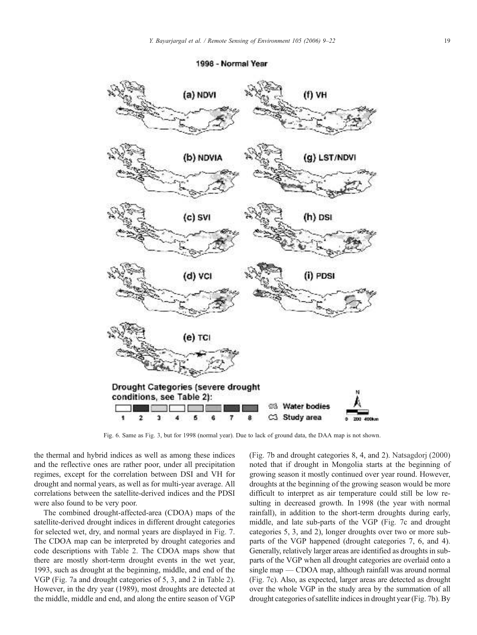1998 - Normal Year

# (a) NDVI (f) VH (g) LST/NDVI (b) NDVIA (c) SVI (h) DSI (d) VCI (i) PDSI  $(e)$  TCI Drought Categories (severe drought conditions, see Table 2): 63 Water bodies C3 Study area 1  $\overline{2}$ 3 б 4 6 7

Fig. 6. Same as Fig. 3, but for 1998 (normal year). Due to lack of ground data, the DAA map is not shown.

the thermal and hybrid indices as well as among these indices and the reflective ones are rather poor, under all precipitation regimes, except for the correlation between DSI and VH for drought and normal years, as well as for multi-year average. All correlations between the satellite-derived indices and the PDSI were also found to be very poor.

The combined drought-affected-area (CDOA) maps of the satellite-derived drought indices in different drought categories for selected wet, dry, and normal years are displayed in Fig. 7. The CDOA map can be interpreted by drought categories and code descriptions with Table 2. The CDOA maps show that there are mostly short-term drought events in the wet year, 1993, such as drought at the beginning, middle, and end of the VGP (Fig. 7a and drought categories of 5, 3, and 2 in Table 2). However, in the dry year (1989), most droughts are detected at the middle, middle and end, and along the entire season of VGP (Fig. 7b and drought categories 8, 4, and 2). Natsagdorj (2000) noted that if drought in Mongolia starts at the beginning of growing season it mostly continued over year round. However, droughts at the beginning of the growing season would be more difficult to interpret as air temperature could still be low resulting in decreased growth. In 1998 (the year with normal rainfall), in addition to the short-term droughts during early, middle, and late sub-parts of the VGP (Fig. 7c and drought categories 5, 3, and 2), longer droughts over two or more subparts of the VGP happened (drought categories 7, 6, and 4). Generally, relatively larger areas are identified as droughts in subparts of the VGP when all drought categories are overlaid onto a single map — CDOA map, although rainfall was around normal (Fig. 7c). Also, as expected, larger areas are detected as drought over the whole VGP in the study area by the summation of all drought categories of satellite indices in drought year (Fig. 7b). By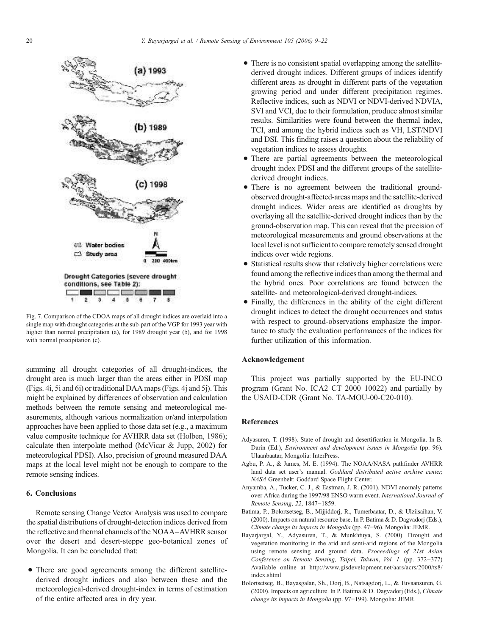

Fig. 7. Comparison of the CDOA maps of all drought indices are overlaid into a single map with drought categories at the sub-part of the VGP for 1993 year with higher than normal precipitation (a), for 1989 drought year (b), and for 1998 with normal precipitation (c).

summing all drought categories of all drought-indices, the drought area is much larger than the areas either in PDSI map (Figs. 4i, 5i and 6i) or traditional DAA maps (Figs. 4j and 5j). This might be explained by differences of observation and calculation methods between the remote sensing and meteorological measurements, although various normalization or/and interpolation approaches have been applied to those data set (e.g., a maximum value composite technique for AVHRR data set (Holben, 1986); calculate then interpolate method (McVicar & Jupp, 2002) for meteorological PDSI). Also, precision of ground measured DAA maps at the local level might not be enough to compare to the remote sensing indices.

# 6. Conclusions

Remote sensing Change Vector Analysis was used to compare the spatial distributions of drought-detection indices derived from the reflective and thermal channels of the NOAA–AVHRR sensor over the desert and desert-steppe geo-botanical zones of Mongolia. It can be concluded that:

• There are good agreements among the different satellitederived drought indices and also between these and the meteorological-derived drought-index in terms of estimation of the entire affected area in dry year.

- There is no consistent spatial overlapping among the satellitederived drought indices. Different groups of indices identify different areas as drought in different parts of the vegetation growing period and under different precipitation regimes. Reflective indices, such as NDVI or NDVI-derived NDVIA, SVI and VCI, due to their formulation, produce almost similar results. Similarities were found between the thermal index, TCI, and among the hybrid indices such as VH, LST/NDVI and DSI. This finding raises a question about the reliability of vegetation indices to assess droughts.
- There are partial agreements between the meteorological drought index PDSI and the different groups of the satellitederived drought indices.
- There is no agreement between the traditional groundobserved drought-affected-areas maps and the satellite-derived drought indices. Wider areas are identified as droughts by overlaying all the satellite-derived drought indices than by the ground-observation map. This can reveal that the precision of meteorological measurements and ground observations at the local level is not sufficient to compare remotely sensed drought indices over wide regions.
- Statistical results show that relatively higher correlations were found among the reflective indices than among the thermal and the hybrid ones. Poor correlations are found between the satellite- and meteorological-derived drought-indices.
- Finally, the differences in the ability of the eight different drought indices to detect the drought occurrences and status with respect to ground-observations emphasize the importance to study the evaluation performances of the indices for further utilization of this information.

# Acknowledgement

This project was partially supported by the EU-INCO program (Grant No. ICA2 CT 2000 10022) and partially by the USAID-CDR (Grant No. TA-MOU-00-C20-010).

# **References**

- Adyasuren, T. (1998). State of drought and desertification in Mongolia. In B. Darin (Ed.), *Environment and development issues in Mongolia* (pp. 96). Ulaanbaatar, Mongolia: InterPress.
- Agbu, P. A., & James, M. E. (1994). The NOAA/NASA pathfinder AVHRR land data set user's manual. *Goddard distributed active archive center, NASA* Greenbelt: Goddard Space Flight Center.
- Anyamba, A., Tucker, C. J., & Eastman, J. R. (2001). NDVI anomaly patterns over Africa during the 1997/98 ENSO warm event. *International Journal of Remote Sensing*, *22*, 1847−1859.
- Batima, P., Bolortsetseg, B., Mijjiddorj, R., Tumerbaatar, D., & Ulziisaihan, V. (2000). Impacts on natural resource base. In P. Batima & D. Dagvadorj (Eds.), *Climate change its impacts in Mongolia* (pp. 47−96). Mongolia: JEMR.
- Bayarjargal, Y., Adyasuren, T., & Munkhtuya, S. (2000). Drought and vegetation monitoring in the arid and semi-arid regions of the Mongolia using remote sensing and ground data. *Proceedings of 21st Asian Conference on Remote Sensing, Taipei, Taiwan*, *Vol. 1*. (pp. 372−377) Available online at http://www.gisdevelopment.net/aars/acrs/2000/ts8/ index.shtml
- Bolortsetseg, B., Bayasgalan, Sh., Dorj, B., Natsagdorj, L., & Tuvaansuren, G. (2000). Impacts on agriculture. In P. Batima & D. Dagvadorj (Eds.), *Climate change its impacts in Mongolia* (pp. 97−199). Mongolia: JEMR.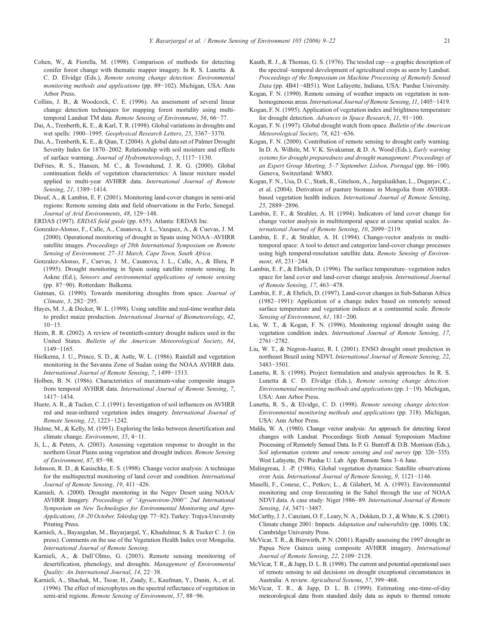- Cohen, W., & Fiorella, M. (1998). Comparison of methods for detecting conifer forest change with thematic mapper imagery. In R. S. Lunetta & C. D. Elvidge (Eds.), *Remote sensing change detection: Environmental monitoring methods and applications* (pp. 89−102). Michigan, USA: Ann Arbor Press.
- Collins, J. B., & Woodcock, C. E. (1996). An assessment of several linear change detection techniques for mapping forest mortality using multitemporal Landsat TM data. *Remote Sensing of Environment*, *56*, 66−77.
- Dai, A., Trenberth, K. E., & Karl, T. R. (1998). Global variations in droughts and wet spells: 1900–1995. *Geophysical Research Letters*, *25*, 3367−3370.
- Dai, A., Trenberth, K. E., & Qian, T. (2004). A global data set of Palmer Drought Severity Index for 1870–2002: Relationship with soil moisture and effects of surface warming. *Journal of Hydrometeorology*, *5*, 1117−1130.
- DeFries, R. S., Hansen, M. C., & Townshend, J. R. G. (2000). Global continuation fields of vegetation characteristics: A linear mixture model applied to multi-year AVHRR data. *International Journal of Remote Sensing*, *21*, 1389−1414.
- Diouf, A., & Lambin, E. F. (2001). Monitoring land-cover changes in semi-arid regions: Remote sensing data and field observations in the Ferlo, Senegal. *Journal of Arid Environments*, *48*, 129−148.

ERDAS (1997). *ERDAS field guide* (pp. 655). Atlanta: ERDAS Inc.

- Gonzalez-Alonso, F., Calle, A., Casanova, J. L., Vazquez, A., & Cuevas, J. M. (2000). Operational monitoring of drought in Spain using NOAA–AVHRR satellite images. *Proceedings of 28th International Symposium on Remote Sensing of Environment, 27*–*31 March, Cape Town, South Africa*.
- Gonzalez-Alonso, F., Cuevas, J. M., Casanova, J. L., Calle, A., & Illera, P. (1995). Drought monitoring in Spain using satellite remote sensing. In Askne (Ed.), *Sensors and environmental applications of remote sensing* (pp. 87−90). Rotterdam: Balkema.
- Gutman, G. (1990). Towards monitoring droughts from space. *Journal of Climate*, *3*, 282−295.
- Hayes, M. J., & Decker, W. L. (1998). Using satellite and real-time weather data to predict maize production. *International Journal of Biometeorology*, *42*, 10−15.
- Heim, R. R. (2002). A review of twentieth-century drought indices used in the United States. *Bulletin of the American Meteorological Society*, *84*, 1149−1165.
- Hielkema, J. U., Prince, S. D., & Astle, W. L. (1986). Rainfall and vegetation monitoring in the Savanna Zone of Sudan using the NOAA AVHRR data. *International Journal of Remote Sensing*, *7*, 1499−1513.
- Holben, B. N. (1986). Characteristics of maximum-value composite images from temporal AVHRR data. *International Journal of Remote Sensing*, *7*, 1417−1434.
- Huete, A. R., & Tucker, C. J. (1991). Investigation of soil influences on AVHRR red and near-infrared vegetation index imagery. *International Journal of Remote Sensing*, *12*, 1223−1242.
- Hulme, M., & Kelly, M. (1993). Exploring the links between desertification and climate change. *Environment*, *35*, 4−11.
- Ji, L., & Peters, A. (2003). Assessing vegetation response to drought in the northern Great Plains using vegetation and drought indices. *Remote Sensing of Environment*, *87*, 85−98.
- Johnson, R. D., & Kasischke, E. S. (1998). Change vector analysis: A technique for the multispectral monitoring of land cover and condition. *International Journal of Remote Sensing*, *19*, 411−426.
- Karnieli, A. (2000). Drought monitoring in the Negev Desert using NOAA/ AVHRR Imagery. *Proceedings of* "*Agroenviron-2000*" *2nd International Symposium on New Technologies for Environmental Monitoring and Agro-Applications, 18*–*20 October, Tekirdag* (pp. 77−82). Turkey: Trajya-University Printing Press.
- Karnieli, A., Bayasgalan, M., Bayarjargal, Y., Khudulmur, S. & Tucker C. J. (in press). Comments on the use of the Vegetation Health Index over Mongolia. *International Journal of Remote Sensing*.
- Karnieli, A., & Dall'Olmo, G. (2003). Remote sensing monitoring of desertification, phenology, and droughts. *Management of Environmental Quality: An International Journal*, *14*, 22−38.
- Karnieli, A., Shachak, M., Tsoar, H., Zaady, E., Kaufman, Y., Danin, A., et al. (1996). The effect of microphytes on the spectral reflectance of vegetation in semi-arid regions. *Remote Sensing of Environment*, *57*, 88−96.
- Kauth, R. J., & Thomas, G. S. (1976). The tessled cap—a graphic description of the spectral–temporal development of agricultural crops as seen by Landsat. *Proceedings of the Symposium on Machine Processing of Remotely Sensed Data* (pp. 4B41−4B51). West Lafayette, Indiana, USA: Purdue University.
- Kogan, F. N. (1990). Remote sensing of weather impacts on vegetation in nonhomogeneous areas. *International Journal of Remote Sensing*, *11*, 1405−1419.
- Kogan, F. N. (1995). Application of vegetation index and brightness temperature for drought detection. *Advances in Space Research*, *11*, 91−100.
- Kogan, F. N. (1997). Global drought watch from space. *Bulletin of the American Meteorological Society*, *78*, 621−636.
- Kogan, F. N. (2000). Contribution of remote sensing to drought early warning. In D. A. Wilhite, M. V. K. Sivakumar, & D. A. Wood (Eds.), *Early warning systems for drought preparedness and drought management: Proceedings of an Expert Group Meeting, 5*–*7 September, Lisbon, Portugal* (pp. 86−100). Geneva, Switzerland: WMO.
- Kogan, F. N., Usa, D. C., Stark, R., Gitelson, A., Jargalsaikhan, L., Dugarjav, C., et al. (2004). Derivation of pasture biomass in Mongolia from AVHRRbased vegetation health indices. *International Journal of Remote Sensing*, *25*, 2889−2896.
- Lambin, E. F., & Strahler, A. H. (1994). Indicators of land cover change for change vector analysis in multitemporal space at coarse spatial scales. *International Journal of Remote Sensing*, *10*, 2099−2119.
- Lambin, E. F., & Strahler, A. H. (1994). Change-vector analysis in multitemporal space: A tool to detect and categorize land-cover change processes using high temporal-resolution satellite data. *Remote Sensing of Environment*, *48*, 231−244.
- Lambin, E. F., & Ehrlich, D. (1996). The surface temperature–vegetation index space for land cover and land-cover change analysis. *International Journal of Remote Sensing*, *17*, 463−478.
- Lambin, E. F., & Ehrlich, D. (1997). Land-cover changes in Sub-Saharan Africa (1982–1991): Application of a change index based on remotely sensed surface temperature and vegetation indices at a continental scale. *Remote Sensing of Environment*, *61*, 181−200.
- Liu, W. T., & Kogan, F. N. (1996). Monitoring regional drought using the vegetation condition index. *International Journal of Remote Sensing*, *17*, 2761−2782.
- Liu, W. T., & Negron-Juarez, R. I. (2001). ENSO drought onset prediction in northeast Brazil using NDVI. *International Journal of Remote Sensing*, *22*, 3483−3501.
- Lunetta, R. S. (1998). Project formulation and analysis approaches. In R. S. Lunetta & C. D. Elvidge (Eds.), *Remote sensing change detection: Environmental monitoring methods and applications* (pp. 1−19). Michigan, USA: Ann Arbor Press.
- Lunetta, R. S., & Elvidge, C. D. (1998). *Remote sensing change detection: Environmental monitoring methods and applications* (pp. 318). Michigan, USA: Ann Arbor Press.
- Malila, W. A. (1980). Change vector analysis: An approach for detecting forest changes with Landsat. Proceedings Sixth Annual Symposium Machine Processing of Remotely Sensed Data. In P. G. Burroff & D.B. Morrison (Eds.), *Soil information systems and remote sensing and soil survey* (pp. 326−335). West Lafayette, IN: Purdue U. Lab. App. Remote Sens 3–6 June.
- Malingreau, J. -P. (1986). Global vegetation dynamics: Satellite observations over Asia. *International Journal of Remote Sensing*, *9*, 1121−1146.
- Maselli, F., Conese, C., Petkov, L., & Gilabert, M. A. (1993). Environmental monitoring and crop forecasting in the Sahel through the use of NOAA NDVI data. A case study: Niger 1986–89. *International Journal of Remote Sensing*, *14*, 3471−3487.
- McCarthy, J. J., Canziani, O. F., Leary, N. A., Dokken, D. J., & White, K. S. (2001). Climate change 2001: Impacts. *Adaptation and vulnerability* (pp. 1000). UK: Cambridge University Press.
- McVicar, T. R., & Bierwirth, P. N. (2001). Rapidly assessing the 1997 drought in Papua New Guinea using composite AVHRR imagery. *International Journal of Remote Sensing*, *22*, 2109−2128.
- McVicar, T. R., & Jupp, D. L. B. (1998). The current and potential operational uses of remote sensing to aid decisions on drought exceptional circumstances in Australia: A review. *Agricultural Systems*, *57*, 399−468.
- McVicar, T. R., & Jupp, D. L. B. (1999). Estimating one-time-of-day meteorological data from standard daily data as inputs to thermal remote